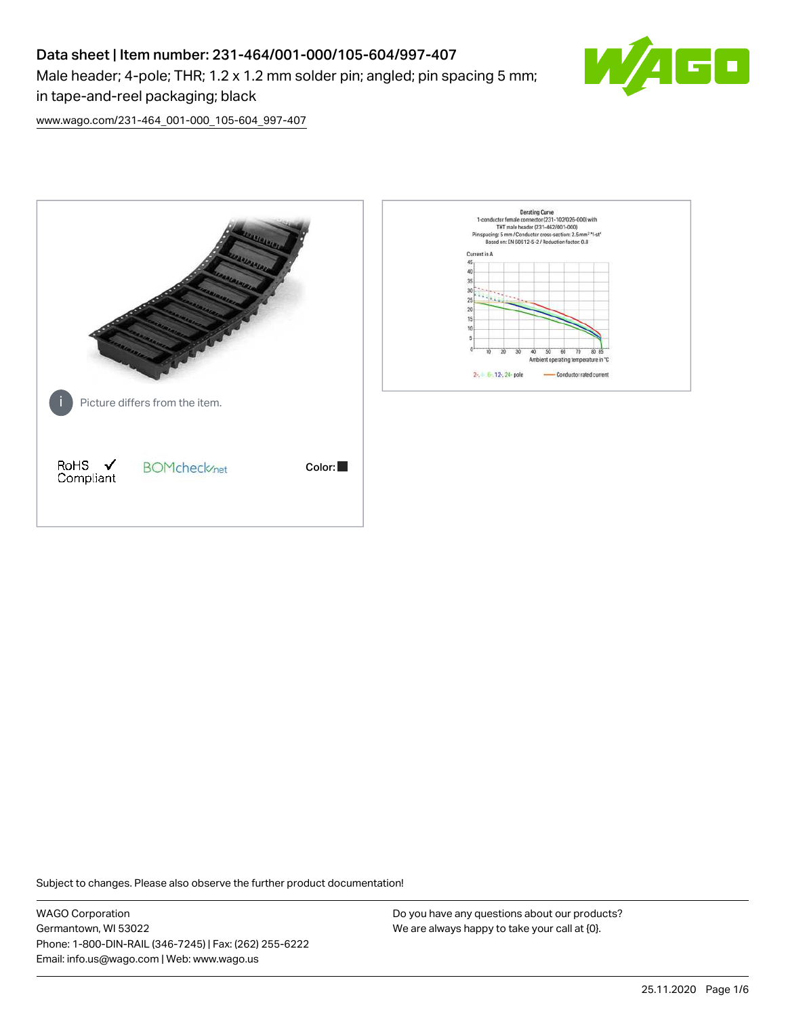# Data sheet | Item number: 231-464/001-000/105-604/997-407 Male header; 4-pole; THR; 1.2 x 1.2 mm solder pin; angled; pin spacing 5 mm; in tape-and-reel packaging; black



[www.wago.com/231-464\\_001-000\\_105-604\\_997-407](http://www.wago.com/231-464_001-000_105-604_997-407)



Subject to changes. Please also observe the further product documentation!

WAGO Corporation Germantown, WI 53022 Phone: 1-800-DIN-RAIL (346-7245) | Fax: (262) 255-6222 Email: info.us@wago.com | Web: www.wago.us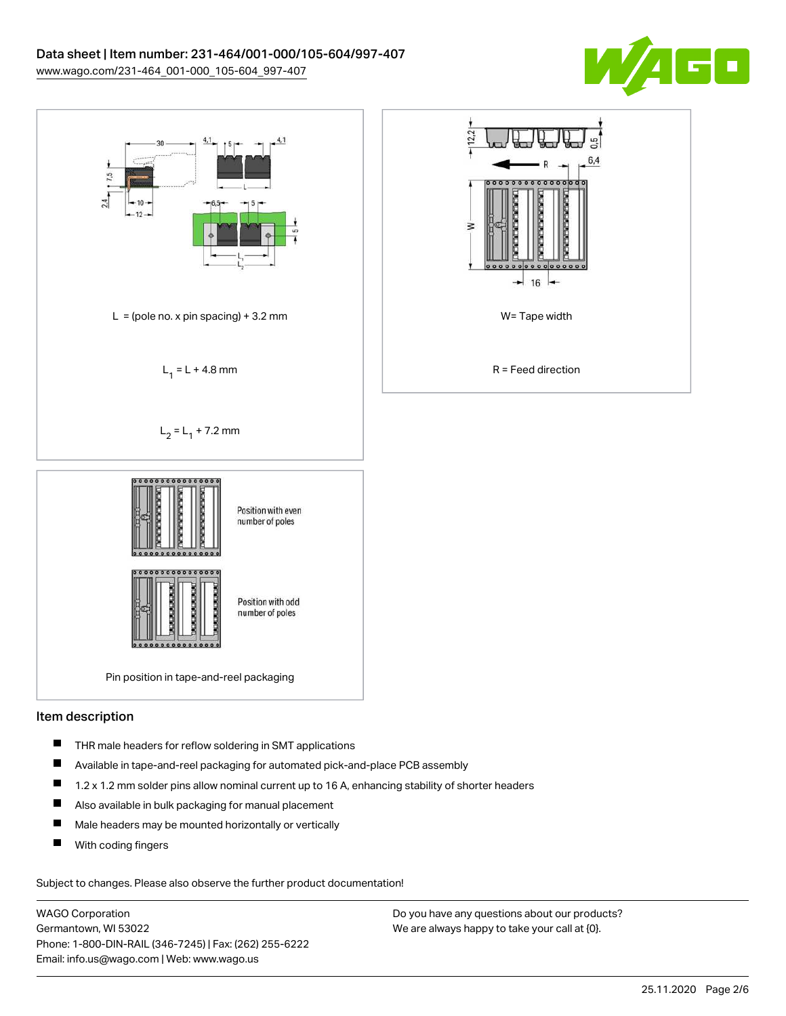



### Item description

- $\blacksquare$ THR male headers for reflow soldering in SMT applications
- П Available in tape-and-reel packaging for automated pick-and-place PCB assembly
- $\blacksquare$ 1.2 x 1.2 mm solder pins allow nominal current up to 16 A, enhancing stability of shorter headers
- $\blacksquare$ Also available in bulk packaging for manual placement
- $\blacksquare$ Male headers may be mounted horizontally or vertically
- П With coding fingers

Subject to changes. Please also observe the further product documentation!

WAGO Corporation Germantown, WI 53022 Phone: 1-800-DIN-RAIL (346-7245) | Fax: (262) 255-6222 Email: info.us@wago.com | Web: www.wago.us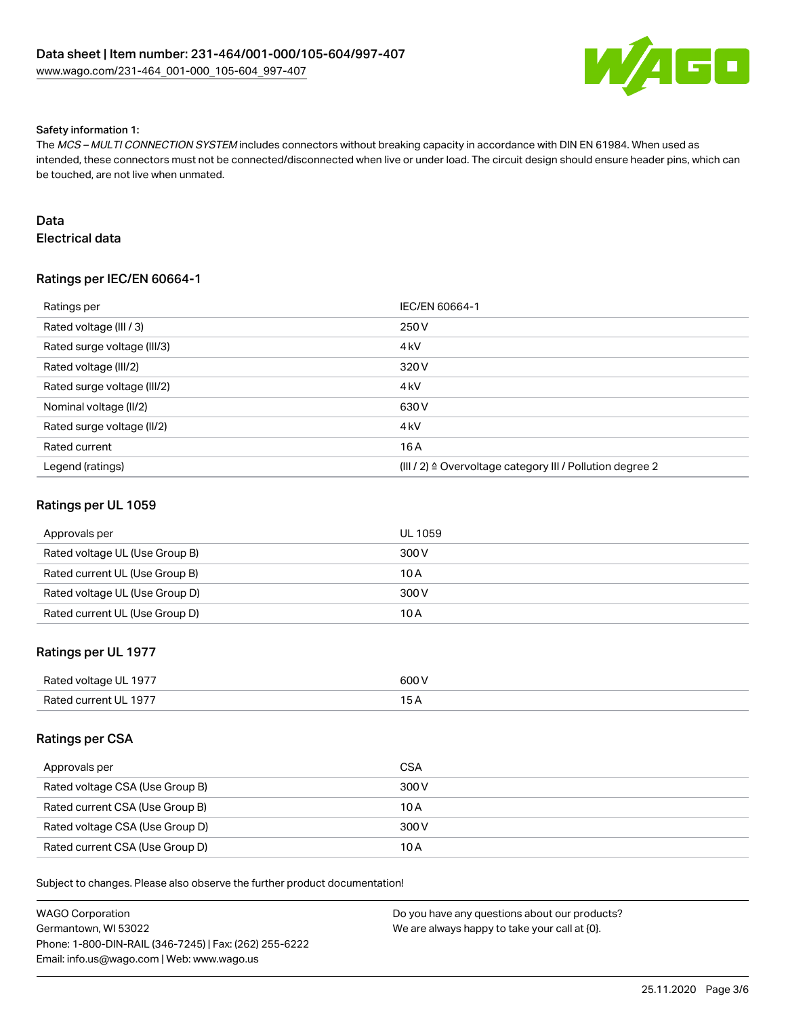

#### Safety information 1:

The MCS – MULTI CONNECTION SYSTEM includes connectors without breaking capacity in accordance with DIN EN 61984. When used as intended, these connectors must not be connected/disconnected when live or under load. The circuit design should ensure header pins, which can be touched, are not live when unmated.

# Data

Electrical data

# Ratings per IEC/EN 60664-1

| Ratings per                 | IEC/EN 60664-1                                                        |
|-----------------------------|-----------------------------------------------------------------------|
| Rated voltage (III / 3)     | 250 V                                                                 |
| Rated surge voltage (III/3) | 4 <sub>k</sub> V                                                      |
| Rated voltage (III/2)       | 320 V                                                                 |
| Rated surge voltage (III/2) | 4 <sub>k</sub> V                                                      |
| Nominal voltage (II/2)      | 630 V                                                                 |
| Rated surge voltage (II/2)  | 4 <sub>kV</sub>                                                       |
| Rated current               | 16 A                                                                  |
| Legend (ratings)            | $(III / 2)$ $\triangle$ Overvoltage category III / Pollution degree 2 |

### Ratings per UL 1059

| Approvals per                  | <b>UL 1059</b> |
|--------------------------------|----------------|
| Rated voltage UL (Use Group B) | 300 V          |
| Rated current UL (Use Group B) | 10 A           |
| Rated voltage UL (Use Group D) | 300 V          |
| Rated current UL (Use Group D) | 10 A           |

# Ratings per UL 1977

| Rated voltage UL 1977 | 600V |
|-----------------------|------|
| Rated current UL 1977 |      |

### Ratings per CSA

| Approvals per                   | <b>CSA</b> |
|---------------------------------|------------|
| Rated voltage CSA (Use Group B) | 300 V      |
| Rated current CSA (Use Group B) | 10 A       |
| Rated voltage CSA (Use Group D) | 300 V      |
| Rated current CSA (Use Group D) | 10 A       |

Subject to changes. Please also observe the further product documentation!

| WAGO Corporation                                       | Do you have any questions about our products? |
|--------------------------------------------------------|-----------------------------------------------|
| Germantown. WI 53022                                   | We are always happy to take your call at {0}. |
| Phone: 1-800-DIN-RAIL (346-7245)   Fax: (262) 255-6222 |                                               |
| Email: info.us@wago.com   Web: www.wago.us             |                                               |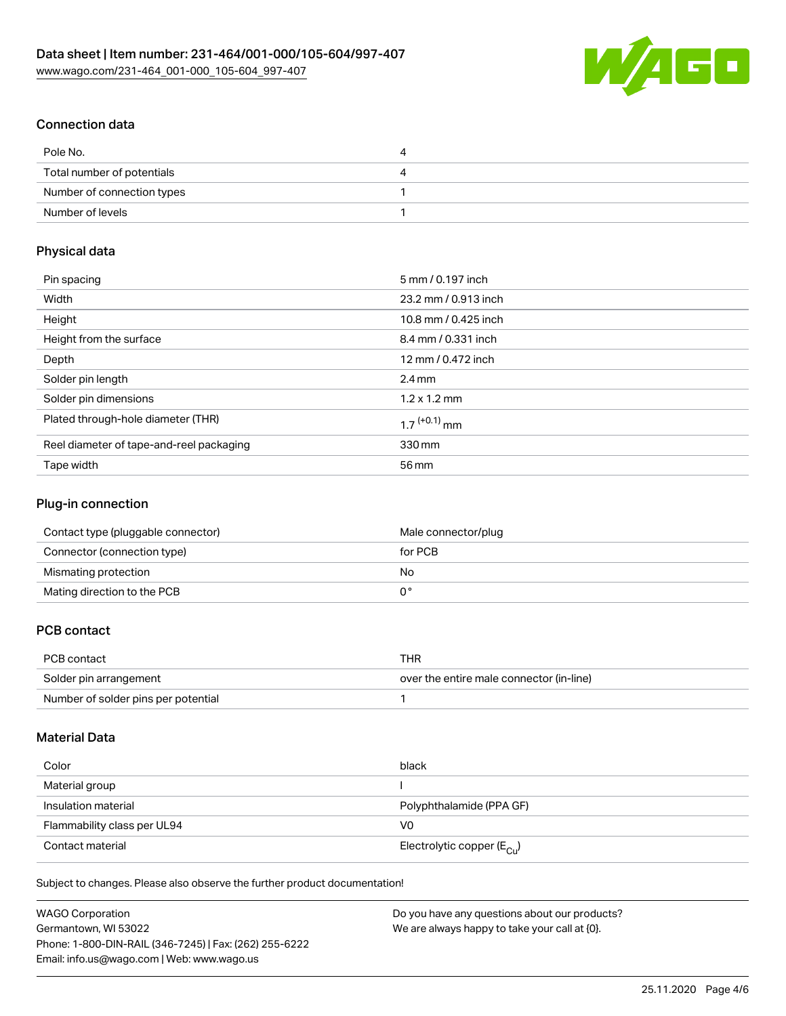

# Connection data

| Pole No.                   | 4 |
|----------------------------|---|
| Total number of potentials | 4 |
| Number of connection types |   |
| Number of levels           |   |

# Physical data

| Pin spacing                              | 5 mm / 0.197 inch          |
|------------------------------------------|----------------------------|
| Width                                    | 23.2 mm / 0.913 inch       |
| Height                                   | 10.8 mm / 0.425 inch       |
| Height from the surface                  | 8.4 mm / 0.331 inch        |
| Depth                                    | 12 mm / 0.472 inch         |
| Solder pin length                        | $2.4 \text{ mm}$           |
| Solder pin dimensions                    | $1.2 \times 1.2$ mm        |
| Plated through-hole diameter (THR)       | $1.7$ <sup>(+0.1)</sup> mm |
| Reel diameter of tape-and-reel packaging | 330 mm                     |
| Tape width                               | 56 mm                      |

## Plug-in connection

| Contact type (pluggable connector) | Male connector/plug |
|------------------------------------|---------------------|
| Connector (connection type)        | for PCB             |
| Mismating protection               | No                  |
| Mating direction to the PCB        |                     |

# PCB contact

| PCB contact                         | THR                                      |
|-------------------------------------|------------------------------------------|
| Solder pin arrangement              | over the entire male connector (in-line) |
| Number of solder pins per potential |                                          |

# Material Data

| Color                       | black                                   |
|-----------------------------|-----------------------------------------|
| Material group              |                                         |
| Insulation material         | Polyphthalamide (PPA GF)                |
| Flammability class per UL94 | V0                                      |
| Contact material            | Electrolytic copper ( $E_{\text{Cu}}$ ) |

Subject to changes. Please also observe the further product documentation!

| <b>WAGO Corporation</b>                                | Do you have any questions about our products? |
|--------------------------------------------------------|-----------------------------------------------|
| Germantown, WI 53022                                   | We are always happy to take your call at {0}. |
| Phone: 1-800-DIN-RAIL (346-7245)   Fax: (262) 255-6222 |                                               |
| Email: info.us@wago.com   Web: www.wago.us             |                                               |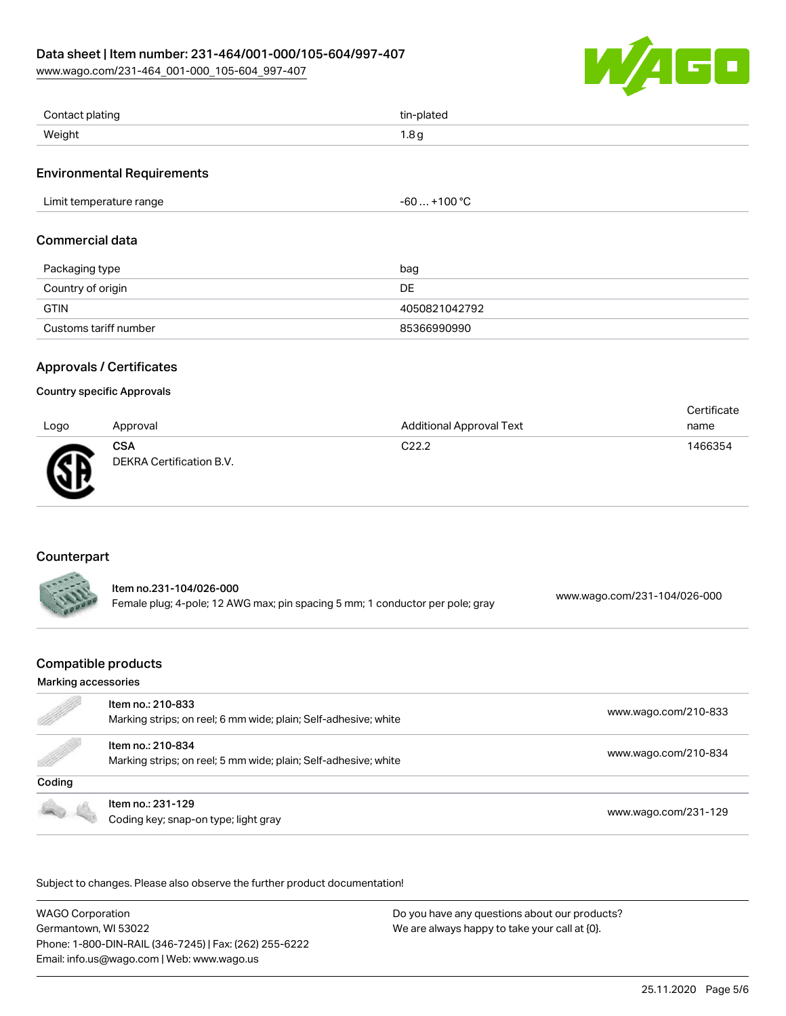### Data sheet | Item number: 231-464/001-000/105-604/997-407

[www.wago.com/231-464\\_001-000\\_105-604\\_997-407](http://www.wago.com/231-464_001-000_105-604_997-407)



| Contact plating | tin-plated            |
|-----------------|-----------------------|
| Weight          | $\circ$<br>1.0 Y<br>. |

### Environmental Requirements

| Limit temperature range<br>. | مہ مہ<br>~~<br>-ou<br>1 U U<br>___ |
|------------------------------|------------------------------------|
|------------------------------|------------------------------------|

### Commercial data

| Packaging type        | bag           |
|-----------------------|---------------|
| Country of origin     | DE            |
| GTIN                  | 4050821042792 |
| Customs tariff number | 85366990990   |

### Approvals / Certificates

#### Country specific Approvals

| Logo | Approval                               | <b>Additional Approval Text</b> | Certificate<br>name |
|------|----------------------------------------|---------------------------------|---------------------|
| Ж    | <b>CSA</b><br>DEKRA Certification B.V. | C <sub>22.2</sub>               | 1466354             |

# Counterpart

| ltem no.231-104/026-000                                                       |                              |
|-------------------------------------------------------------------------------|------------------------------|
| Female plug; 4-pole; 12 AWG max; pin spacing 5 mm; 1 conductor per pole; gray | www.wago.com/231-104/026-000 |

# Compatible products

#### Marking accessories

| e de la comparación de la comparación de la comparación de la comparación de la comparación de la comparación de<br>La comparación de la comparación de la comparación de la comparación de la comparación de la comparación de l | Item no.: 210-833<br>Marking strips; on reel; 6 mm wide; plain; Self-adhesive; white | www.wago.com/210-833 |
|-----------------------------------------------------------------------------------------------------------------------------------------------------------------------------------------------------------------------------------|--------------------------------------------------------------------------------------|----------------------|
| <b>Sold Street Section</b>                                                                                                                                                                                                        | Item no.: 210-834<br>Marking strips; on reel; 5 mm wide; plain; Self-adhesive; white | www.wago.com/210-834 |
| Coding                                                                                                                                                                                                                            |                                                                                      |                      |
|                                                                                                                                                                                                                                   | Item no.: 231-129<br>Coding key; snap-on type; light gray                            | www.wago.com/231-129 |

Subject to changes. Please also observe the further product documentation!

WAGO Corporation Germantown, WI 53022 Phone: 1-800-DIN-RAIL (346-7245) | Fax: (262) 255-6222 Email: info.us@wago.com | Web: www.wago.us